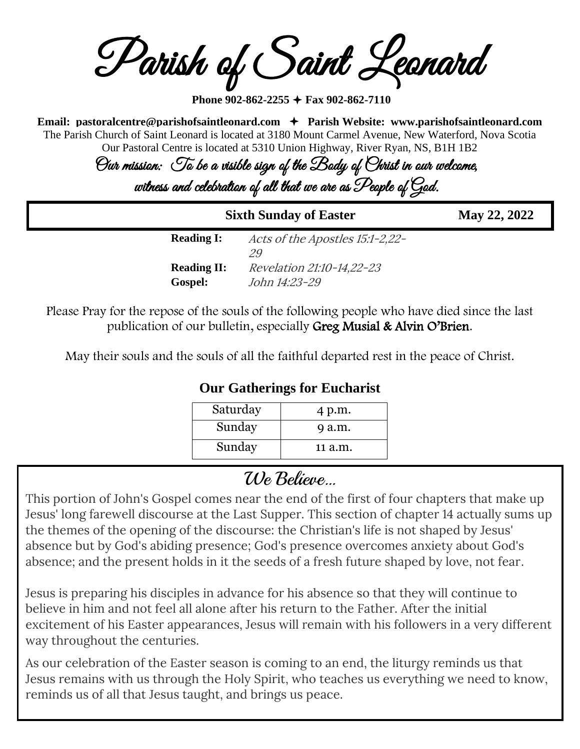Parish of Saint Leonard

**Phone 902-862-2255 Fax 902-862-7110** 

**Email: [pastoralcentre@parishofsaintleonard.com](mailto:pastoralcentre@parishofsaintleonard.com)  Parish Website: www.parishofsaintleonard.com** The Parish Church of Saint Leonard is located at 3180 Mount Carmel Avenue, New Waterford, Nova Scotia Our Pastoral Centre is located at 5310 Union Highway, River Ryan, NS, B1H 1B2

Our mission: To be a visible sign of the Body of Christ in our welcome,

| witness and celebration of all that we are as Deople of God. |  |  |
|--------------------------------------------------------------|--|--|
|--------------------------------------------------------------|--|--|

|                               | <b>Sixth Sunday of Easter</b>              | May 22, 2022 |
|-------------------------------|--------------------------------------------|--------------|
| <b>Reading I:</b>             | Acts of the Apostles 15:1-2,22-<br>29      |              |
| <b>Reading II:</b><br>Gospel: | Revelation 21:10-14,22-23<br>John 14:23-29 |              |

Please Pray for the repose of the souls of the following people who have died since the last publication of our bulletin, especially Greg Musial & Alvin O'Brien.

May their souls and the souls of all the faithful departed rest in the peace of Christ.

| Saturday | 4 p.m.  |
|----------|---------|
| Sunday   | 9 a.m.  |
| Sunday   | 11 a.m. |

#### **Our Gatherings for Eucharist**

### We Believe…

This portion of John's Gospel comes near the end of the first of four chapters that make up Jesus' long farewell discourse at the Last Supper. This section of chapter 14 actually sums up the themes of the opening of the discourse: the Christian's life is not shaped by Jesus' absence but by God's abiding presence; God's presence overcomes anxiety about God's absence; and the present holds in it the seeds of a fresh future shaped by love, not fear.

Jesus is preparing his disciples in advance for his absence so that they will continue to believe in him and not feel all alone after his return to the Father. After the initial excitement of his Easter appearances, Jesus will remain with his followers in a very different way throughout the centuries.

As our celebration of the Easter season is coming to an end, the liturgy reminds us that Jesus remains with us through the Holy Spirit, who teaches us everything we need to know, reminds us of all that Jesus taught, and brings us peace.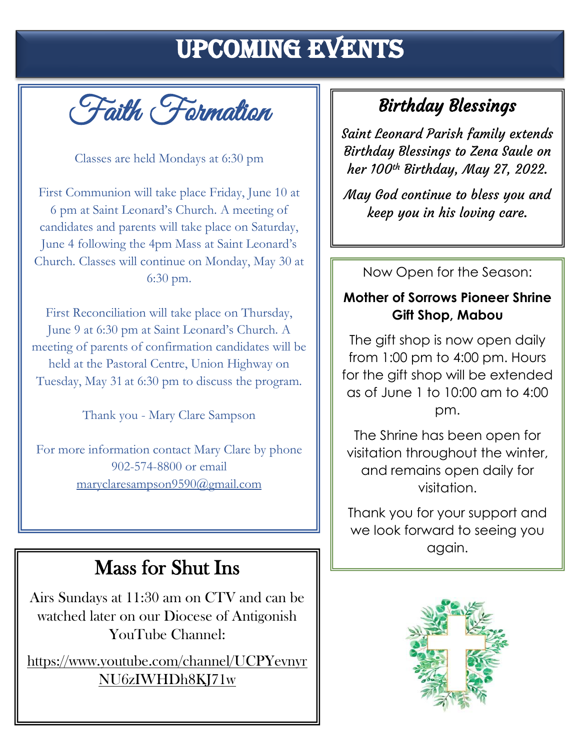# Upcoming Events

Faith Formation

Classes are held Mondays at 6:30 pm

First Communion will take place Friday, June 10 at 6 pm at Saint Leonard's Church. A meeting of candidates and parents will take place on Saturday, June 4 following the 4pm Mass at Saint Leonard's Church. Classes will continue on Monday, May 30 at 6:30 pm.

First Reconciliation will take place on Thursday, June 9 at 6:30 pm at Saint Leonard's Church. A meeting of parents of confirmation candidates will be held at the Pastoral Centre, Union Highway on Tuesday, May 31 at 6:30 pm to discuss the program.

Thank you - Mary Clare Sampson

For more information contact Mary Clare by phone 902-574-8800 or email [maryclaresampson9590@gmail.com](mailto:maryclaresampson9590@gmail.com)

# Mass for Shut Ins

Airs Sundays at 11:30 am on CTV and can be watched later on our Diocese of Antigonish YouTube Channel:

https://www.youtube.com/channel/UCPYevnyr NU6zIWHDh8KJ71w

# Birthday Blessings

Saint Leonard Parish family extends Birthday Blessings to Zena Saule on her  $100$ <sup>th</sup> Birthday, May 27, 2022.

May God continue to bless you and keep you in his loving care.

Now Open for the Season:

#### **Mother of Sorrows Pioneer Shrine Gift Shop, Mabou**

The gift shop is now open daily from 1:00 pm to 4:00 pm. Hours for the gift shop will be extended as of June 1 to 10:00 am to 4:00 pm.

The Shrine has been open for visitation throughout the winter, and remains open daily for visitation.

Thank you for your support and we look forward to seeing you again.